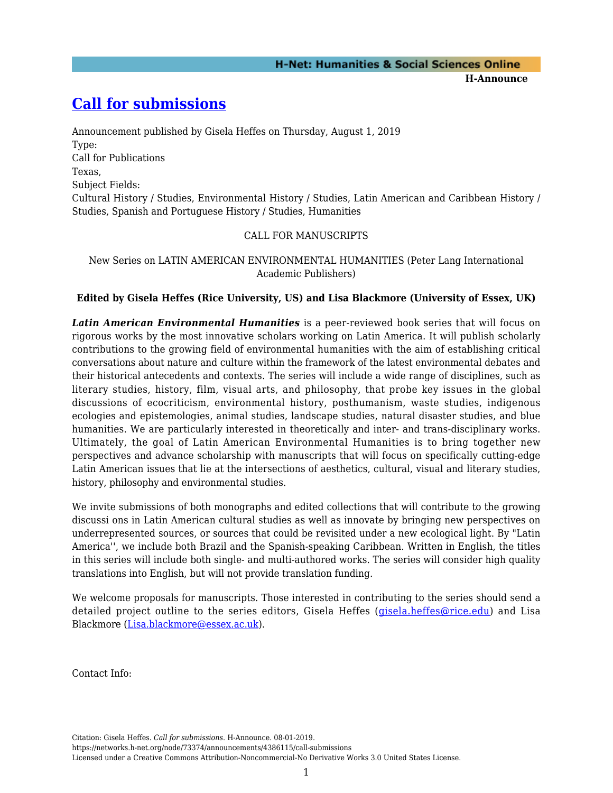## **[Call for submissions](https://networks.h-net.org/node/73374/announcements/4386115/call-submissions)**

Announcement published by Gisela Heffes on Thursday, August 1, 2019 Type: Call for Publications Texas, Subject Fields: Cultural History / Studies, Environmental History / Studies, Latin American and Caribbean History / Studies, Spanish and Portuguese History / Studies, Humanities

## CALL FOR MANUSCRIPTS

New Series on LATIN AMERICAN ENVIRONMENTAL HUMANITIES (Peter Lang International Academic Publishers)

## **Edited by Gisela Heffes (Rice University, US) and Lisa Blackmore (University of Essex, UK)**

*Latin American Environmental Humanities* is a peer-reviewed book series that will focus on rigorous works by the most innovative scholars working on Latin America. It will publish scholarly contributions to the growing field of environmental humanities with the aim of establishing critical conversations about nature and culture within the framework of the latest environmental debates and their historical antecedents and contexts. The series will include a wide range of disciplines, such as literary studies, history, film, visual arts, and philosophy, that probe key issues in the global discussions of ecocriticism, environmental history, posthumanism, waste studies, indigenous ecologies and epistemologies, animal studies, landscape studies, natural disaster studies, and blue humanities. We are particularly interested in theoretically and inter- and trans-disciplinary works. Ultimately, the goal of Latin American Environmental Humanities is to bring together new perspectives and advance scholarship with manuscripts that will focus on specifically cutting-edge Latin American issues that lie at the intersections of aesthetics, cultural, visual and literary studies, history, philosophy and environmental studies.

We invite submissions of both monographs and edited collections that will contribute to the growing discussi ons in Latin American cultural studies as well as innovate by bringing new perspectives on underrepresented sources, or sources that could be revisited under a new ecological light. By "Latin America'', we include both Brazil and the Spanish-speaking Caribbean. Written in English, the titles in this series will include both single- and multi-authored works. The series will consider high quality translations into English, but will not provide translation funding.

We welcome proposals for manuscripts. Those interested in contributing to the series should send a detailed project outline to the series editors, Gisela Heffes [\(gisela.heffes@rice.edu](mailto:gisela.heffes@rice.edu)) and Lisa Blackmore [\(Lisa.blackmore@essex.ac.uk](mailto:Lisa.blackmore@essex.ac.uk)).

Contact Info:

Citation: Gisela Heffes. *Call for submissions*. H-Announce. 08-01-2019.

https://networks.h-net.org/node/73374/announcements/4386115/call-submissions Licensed under a Creative Commons Attribution-Noncommercial-No Derivative Works 3.0 United States License.